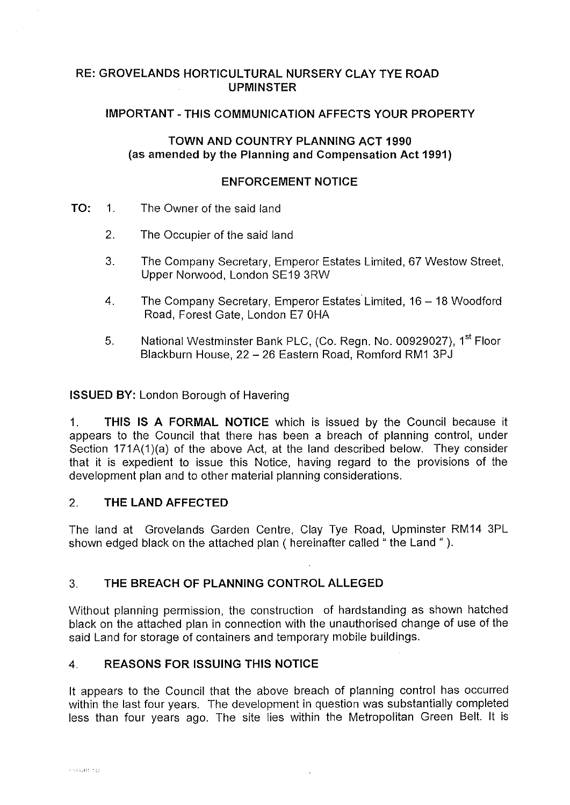## **RE: GROVELANDS HORTICULTURAL NURSERY CLAY TYE ROAD UPMINSTER**

## **IMPORTANT-THIS COMMUNICATION AFFECTS YOUR PROPERTY**

## **TOWN AND COUNTRY PLANNING ACT 1990 (as amended by the Planning and Compensation Act 1991)**

#### **ENFORCEMENT NOTICE**

- **TO:** 1. The Owner of the said land
	- 2. The Occupier of the said land
	- 3. The Company Secretary, Emperor Estates Limited, 67 Weslow Street, Upper Norwood, London SE19 3RW
	- 4. The Company Secretary, Emperor Estates Limited, 16 18 Woodford Road, Forest Gate, London E7 0HA
	- 5. National Westminster Bank PLC, (Co. Regn. No. 00929027), 1<sup>st</sup> Floor Blackburn House, 22 - 26 Eastern Road, Romford RM1 3PJ

**ISSUED BY:** London Borough of Havering

**1. THIS IS A FORMAL NOTICE** which is issued by the Council because it appears to the Council that there has been a breach of planning control, under Section 171A(1)(a) of the above Act, at the land described below. They consider that it is expedient to issue this Notice, having regard to the provisions of the development plan and to other material planning considerations.

## 2. **THE LAND AFFECTED**

The land at Grovelands Garden Centre, Clay Tye Road, Upminster RM14 3PL shown edged black on the attached plan ( hereinafter called " the Land " ).

## 3. **THE BREACH OF PLANNING CONTROL ALLEGED**

Without planning permission, the construction of hardstanding as shown hatched black on the attached plan in connection with the unauthorised change of use of the said Land for storage of containers and temporary mobile buildings.

## 4. **REASONS FOR ISSUING THIS NOTICE**

It appears to the Council that the above breach of planning control has occurred within the last four years. The development in question was substantially completed less than four years ago. The site lies within the Metropolitan Green Belt. It is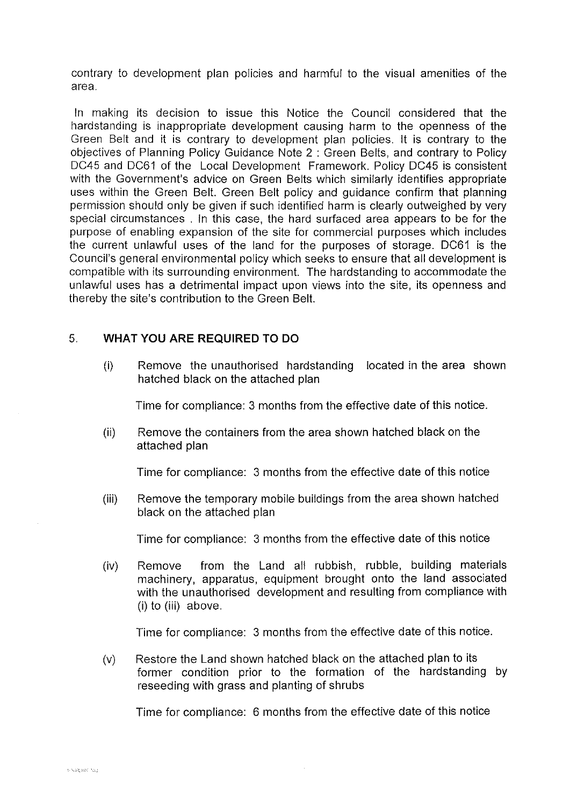contrary to development plan policies and harmful to the visual amenities of the area.

In making its decision to issue this Notice the Council considered that the hardstanding is inappropriate development causing harm to the openness of the Green Belt and it is contrary to development plan policies. It is contrary to the objectives of Planning Policy Guidance Note 2 : Green Belts, and contrary to Policy DC45 and DC61 of the Local Development Framework. Policy DC45 is consistent with the Government's advice on Green Belts which similarly identifies appropriate uses within the Green Belt. Green Belt policy and guidance confirm that planning permission should only be given if such identified harm is clearly outweighed by very special circumstances . In this case, the hard surfaced area appears to be for the purpose of enabling expansion of the site for commercial purposes which includes the current unlawful uses of the land for the purposes of storage. DC61 is the Council's general environmental policy which seeks to ensure that all development is compatible with its surrounding environment. The hardstanding to accommodate the unlawful uses has a detrimental impact upon views into the site, its openness and thereby the site's contribution to the Green Belt.

### 5. **WHAT YOU ARE REQUIRED TO DO**

(i) Remove the unauthorised hardstanding located in the area shown hatched black on the attached plan

Time for compliance: 3 months from the effective date of this notice.

(ii) Remove the containers from the area shown hatched black on the attached plan

Time for compliance: 3 months from the effective date of this notice

(iii) Remove the temporary mobile buildings from the area shown hatched black on the attached plan

Time for compliance: 3 months from the effective date of this notice

(iv) Remove from the Land all rubbish, rubble, building materials machinery, apparatus, equipment brought onto the land associated with the unauthorised development and resulting from compliance with (i) to (iii) above.

Time for compliance: 3 months from the effective date of this notice.

(v) Restore the Land shown hatched black on the attached plan to its former condition prior to the formation of the hardstanding by reseeding with grass and planting of shrubs

Time for compliance: 6 months from the effective date of this notice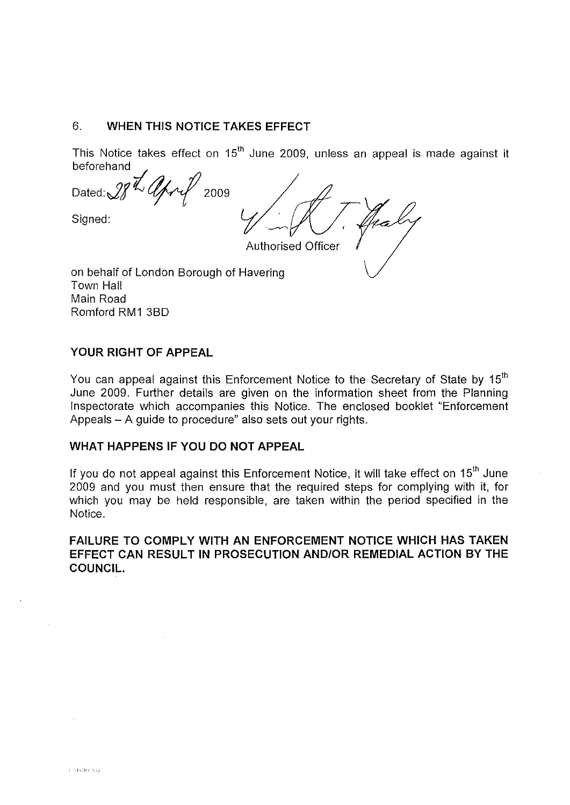#### 6. **WHEN THIS NOTICE TAKES EFFECT**

This Notice takes effect on 15<sup>th</sup> June 2009, unless an appeal is made against it beforehand

Dated: $28'' \sqrt{\frac{\mu}{2}}$ Signed:

Authorised Officer

on behalf of London Borough of Havering Town Hall Main Road Romford RM1 38D

#### **YOUR RIGHT OF APPEAL**

You can appeal against this Enforcement Notice to the Secretary of State by 15<sup>th</sup> June 2009. Further details are given on the information sheet from the Planning Inspectorate which accompanies this Notice. The enclosed booklet "Enforcement Appeals - A guide to procedure" also sets out your rights.

## **WHAT HAPPENS IF YOU DO NOT APPEAL**

If you do not appeal against this Enforcement Notice, it will take effect on  $15<sup>th</sup>$  June 2009 and you must then ensure that the required steps for complying with it, for which you may be held responsible, are taken within the period specified in the Notice.

**FAILURE TO COMPLY WITH AN ENFORCEMENT NOTICE WHICH HAS TAKEN EFFECT CAN RESULT IN PROSECUTION AND/OR REMEDIAL ACTION BY THE COUNCIL.**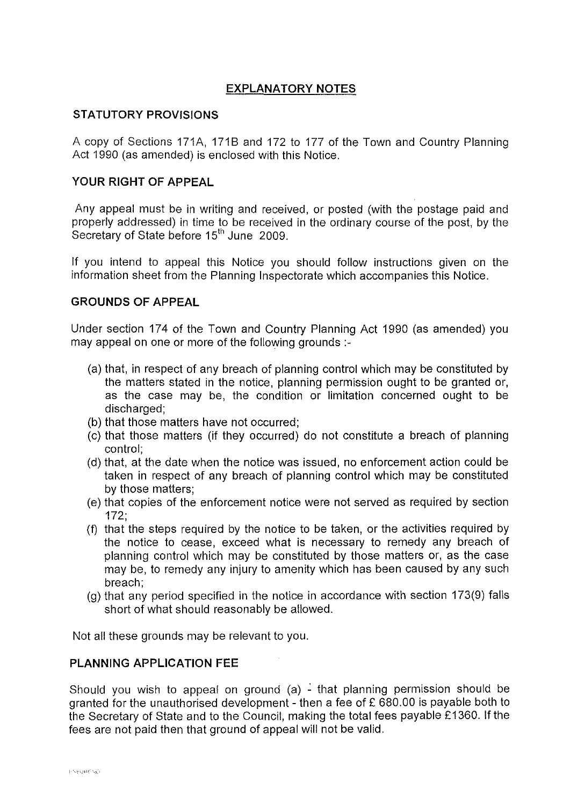# **EXPLANATORY NOTES**

## **STATUTORY PROVISIONS**

A copy of Sections 171A, 171B and 172 to 177 of the Town and Country Planning Act 1990 (as amended) is enclosed with this Notice.

## **YOUR RIGHT OF APPEAL**

Any appeal must be in writing and received, or posted (with the postage paid and properly addressed) in time to be received in the ordinary course of the post, by the Secretary of State before 15<sup>th</sup> June 2009.

If you intend to appeal this Notice you should follow instructions given on the information sheet from the Planning Inspectorate which accompanies this Notice.

#### **GROUNDS OF APPEAL**

Under section 174 of the Town and Country Planning Act 1990 (as amended) you may appeal on one or more of the following grounds :-

- (a) that, in respect of any breach of planning control which may be constituted by the matters stated in the notice, planning permission ought to be granted or, as the case may be, the condition or limitation concerned ought to be discharged;
- (b) that those matters have not occurred;
- (c) that those matters (if they occurred) do not constitute a breach of planning control;
- (d) that, at the date when the notice was issued, no enforcement action could be taken in respect of any breach of planning control which may be constituted by those matters;
- (e) that copies of the enforcement notice were not served as required by section 172;
- (f) that the steps required by the notice to be taken, or the activities required by the notice to cease, exceed what is necessary to remedy any breach of planning control which may be constituted by those matters or, as the case may be, to remedy any injury to amenity which has been caused by any such breach;
- (g) that any period specified in the notice in accordance with section 173(9) falls short of what should reasonably be allowed.

Not all these grounds may be relevant to you.

#### **PLANNING APPLICATION FEE**

Should you wish to appeal on ground (a)  $\frac{1}{2}$  that planning permission should be granted for the unauthorised development - then a fee of  $£ 680.00$  is payable both to the Secretary of State and to the Council, making the total fees payable £1360. If the fees are not paid then that ground of appeal will not be valid.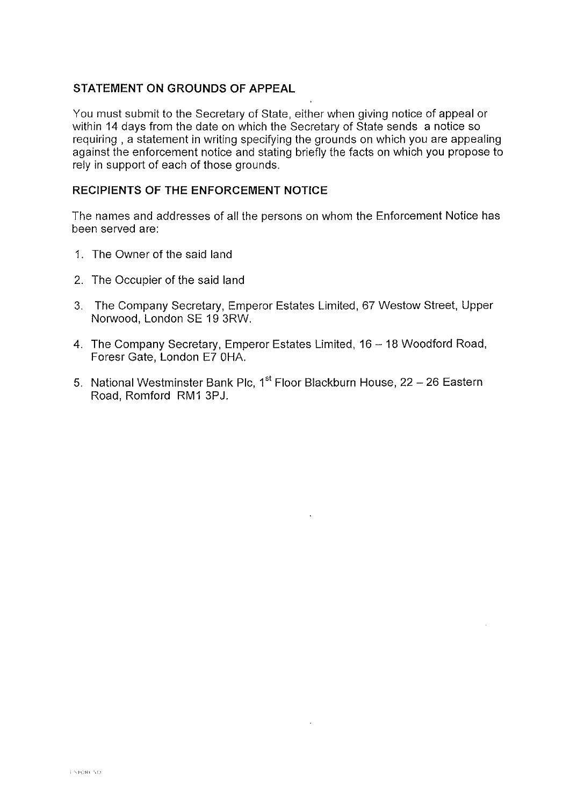## **STATEMENT ON GROUNDS OF APPEAL**

You must submit to the Secretary of State, either when giving notice of appeal or within 14 days from the date on which the Secretary of State sends a notice so requiring , a statement in writing specifying the grounds on which you are appealing against the enforcement notice and stating briefly the facts on which you propose to rely in support of each of those grounds.

# **RECIPIENTS OF THE ENFORCEMENT NOTICE**

The names and addresses of all the persons on whom the Enforcement Notice has been served are:

- 1. The Owner of the said land
- 2. The Occupier of the said land
- 3. The Company Secretary, Emperor Estates Limited, 67 Weslow Street, Upper Norwood, London SE 19 3RW.
- 4. The Company Secretary, Emperor Estates Limited, 16 18 Woodford Road, Foresr Gate, London E7 0HA.
- 5. National Westminster Bank Plc, 1<sup>st</sup> Floor Blackburn House, 22 26 Eastern Road, Romford RM1 3PJ.

 $\ddot{\phantom{a}}$